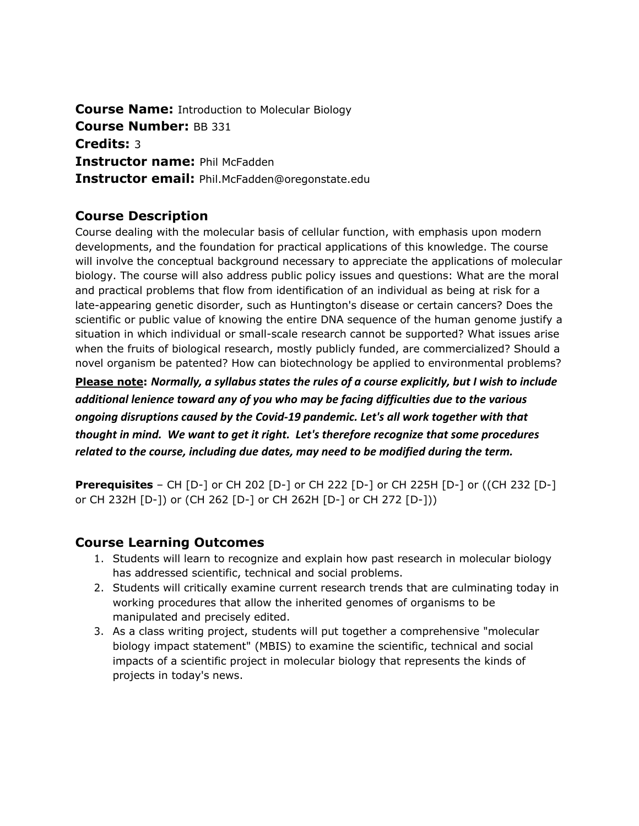**Course Name:** Introduction to Molecular Biology **Course Number:** BB 331 **Credits:** 3 **Instructor name:** Phil McFadden **Instructor email:** Phil.McFadden@oregonstate.edu

# **Course Description**

Course dealing with the molecular basis of cellular function, with emphasis upon modern developments, and the foundation for practical applications of this knowledge. The course will involve the conceptual background necessary to appreciate the applications of molecular biology. The course will also address public policy issues and questions: What are the moral and practical problems that flow from identification of an individual as being at risk for a late-appearing genetic disorder, such as Huntington's disease or certain cancers? Does the scientific or public value of knowing the entire DNA sequence of the human genome justify a situation in which individual or small-scale research cannot be supported? What issues arise when the fruits of biological research, mostly publicly funded, are commercialized? Should a novel organism be patented? How can biotechnology be applied to environmental problems?

**Please note:** *Normally, a syllabus states the rules of a course explicitly, but I wish to include additional lenience toward any of you who may be facing difficulties due to the various ongoing disruptions caused by the Covid-19 pandemic. Let's all work together with that thought in mind. We want to get it right. Let's therefore recognize that some procedures related to the course, including due dates, may need to be modified during the term.*

**Prerequisites** – CH [D-] or CH 202 [D-] or CH 222 [D-] or CH 225H [D-] or ((CH 232 [D-] or CH 232H [D-]) or (CH 262 [D-] or CH 262H [D-] or CH 272 [D-]))

# **Course Learning Outcomes**

- 1. Students will learn to recognize and explain how past research in molecular biology has addressed scientific, technical and social problems.
- 2. Students will critically examine current research trends that are culminating today in working procedures that allow the inherited genomes of organisms to be manipulated and precisely edited.
- 3. As a class writing project, students will put together a comprehensive "molecular biology impact statement" (MBIS) to examine the scientific, technical and social impacts of a scientific project in molecular biology that represents the kinds of projects in today's news.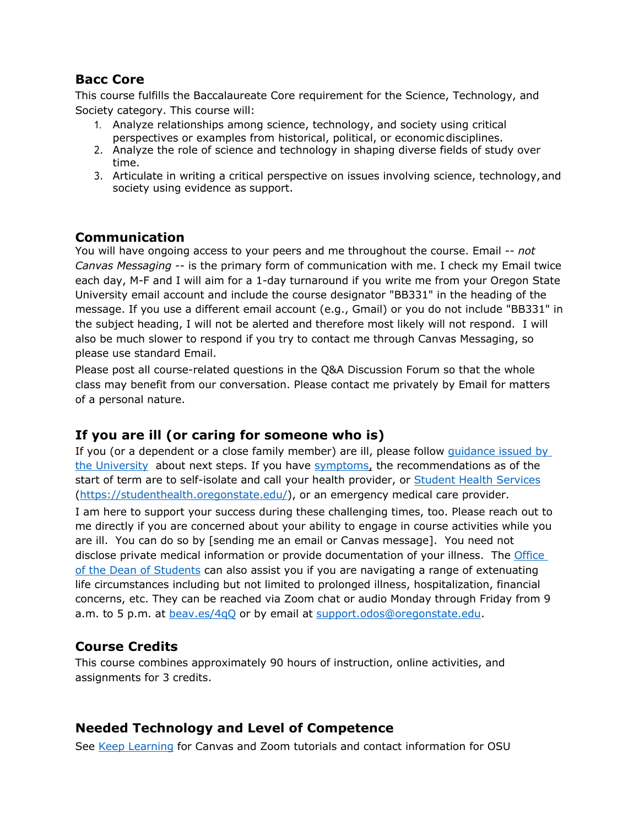# **Bacc Core**

This course fulfills the Baccalaureate Core requirement for the Science, Technology, and Society category. This course will:

- 1. Analyze relationships among science, technology, and society using critical perspectives or examples from historical, political, or economicdisciplines.
- 2. Analyze the role of science and technology in shaping diverse fields of study over time.
- 3. Articulate in writing a critical perspective on issues involving science, technology, and society using evidence as support.

### **Communication**

You will have ongoing access to your peers and me throughout the course. Email -- *not Canvas Messaging* -- is the primary form of communication with me. I check my Email twice each day, M-F and I will aim for a 1-day turnaround if you write me from your Oregon State University email account and include the course designator "BB331" in the heading of the message. If you use a different email account (e.g., Gmail) or you do not include "BB331" in the subject heading, I will not be alerted and therefore most likely will not respond. I will also be much slower to respond if you try to contact me through Canvas Messaging, so please use standard Email.

Please post all course-related questions in the Q&A Discussion Forum so that the whole class may benefit from our conversation. Please contact me privately by Email for matters of a personal nature.

## **If you are ill (or caring for someone who is)**

If you (or a dependent or a close family member) are ill, please follow guidance issued by the University about next steps. If you have symptoms, the recommendations as of the start of term are to self-isolate and call your health provider, or **Student Health Services** (https://studenthealth.oregonstate.edu/), or an emergency medical care provider. I am here to support your success during these challenging times, too. Please reach out to me directly if you are concerned about your ability to engage in course activities while you are ill. You can do so by [sending me an email or Canvas message]. You need not disclose private medical information or provide documentation of your illness. The Office of the Dean of Students can also assist you if you are navigating a range of extenuating life circumstances including but not limited to prolonged illness, hospitalization, financial concerns, etc. They can be reached via Zoom chat or audio Monday through Friday from 9 a.m. to 5 p.m. at **beav.es/4qQ** or by email at support.odos@oregonstate.edu.

## **Course Credits**

This course combines approximately 90 hours of instruction, online activities, and assignments for 3 credits.

## **Needed Technology and Level of Competence**

See Keep Learning for Canvas and Zoom tutorials and contact information for OSU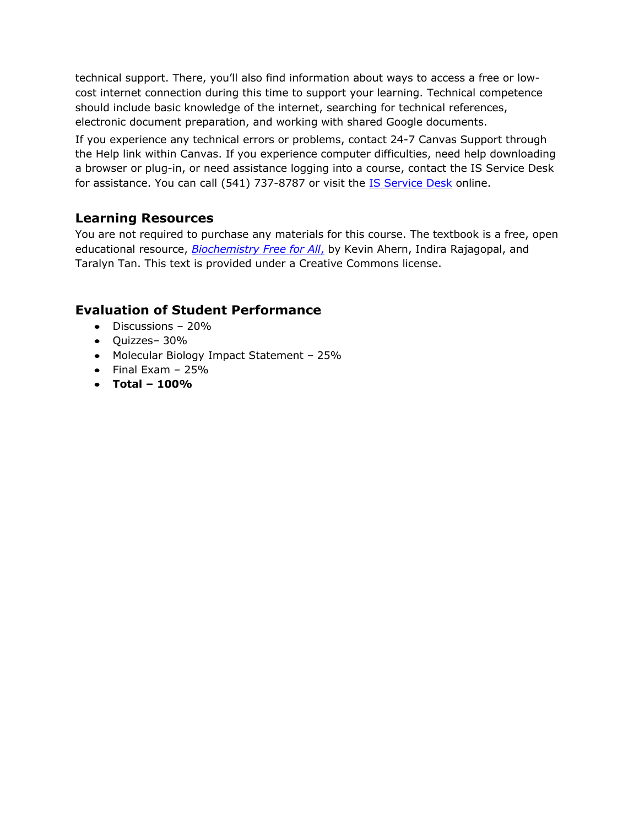technical support. There, you'll also find information about ways to access a free or lowcost internet connection during this time to support your learning. Technical competence should include basic knowledge of the internet, searching for technical references, electronic document preparation, and working with shared Google documents.

If you experience any technical errors or problems, contact 24-7 Canvas Support through the Help link within Canvas. If you experience computer difficulties, need help downloading a browser or plug-in, or need assistance logging into a course, contact the IS Service Desk for assistance. You can call (541) 737-8787 or visit the **IS Service Desk** online.

## **Learning Resources**

You are not required to purchase any materials for this course. The textbook is a free, open educational resource, *Biochemistry Free for All*, by Kevin Ahern, Indira Rajagopal, and Taralyn Tan. This text is provided under a Creative Commons license.

## **Evaluation of Student Performance**

- Discussions 20%
- Quizzes– 30%
- Molecular Biology Impact Statement 25%
- $\bullet$  Final Exam 25%
- **Total – 100%**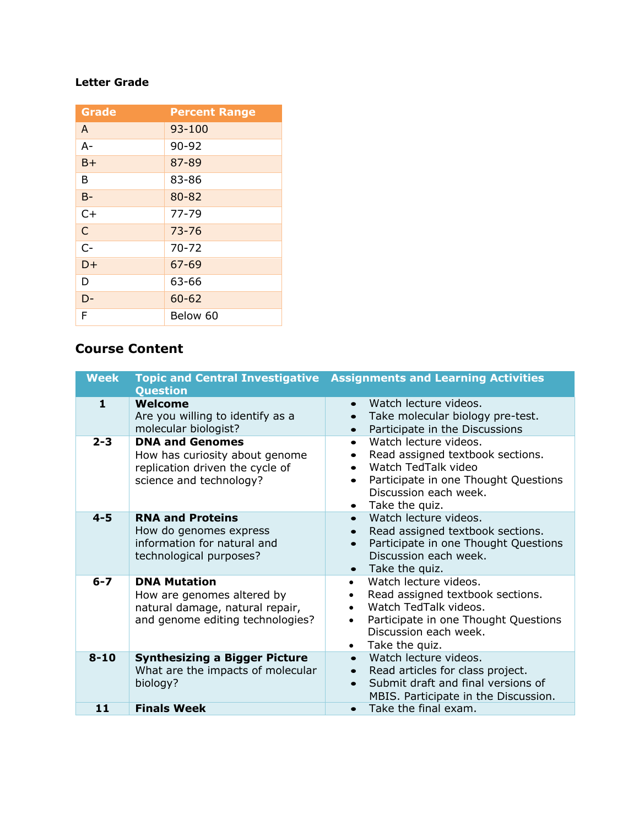### **Letter Grade**

| <b>Grade</b> | <b>Percent Range</b> |
|--------------|----------------------|
| A            | 93-100               |
| $A -$        | 90-92                |
| $B+$         | 87-89                |
| B            | 83-86                |
| $B -$        | 80-82                |
| $C+$         | $77 - 79$            |
| $\mathsf{C}$ | $73 - 76$            |
| $C-$         | $70 - 72$            |
| $D+$         | $67 - 69$            |
| D            | 63-66                |
| D-           | $60 - 62$            |
| F            | Below 60             |

# **Course Content**

| <b>Week</b> | <b>Question</b>                                                                                                          | <b>Topic and Central Investigative Assignments and Learning Activities</b>                                                                                                                                                             |
|-------------|--------------------------------------------------------------------------------------------------------------------------|----------------------------------------------------------------------------------------------------------------------------------------------------------------------------------------------------------------------------------------|
| 1           | Welcome<br>Are you willing to identify as a<br>molecular biologist?                                                      | Watch lecture videos.<br>Take molecular biology pre-test.<br>Participate in the Discussions<br>$\bullet$                                                                                                                               |
| $2 - 3$     | <b>DNA and Genomes</b><br>How has curiosity about genome<br>replication driven the cycle of<br>science and technology?   | Watch lecture videos.<br>$\bullet$<br>Read assigned textbook sections.<br>Watch TedTalk video<br>Participate in one Thought Questions<br>$\bullet$<br>Discussion each week.<br>Take the quiz.                                          |
| $4 - 5$     | <b>RNA and Proteins</b><br>How do genomes express<br>information for natural and<br>technological purposes?              | Watch lecture videos.<br>$\bullet$<br>Read assigned textbook sections.<br>$\bullet$<br>Participate in one Thought Questions<br>$\bullet$<br>Discussion each week.<br>$\bullet$ Take the quiz.                                          |
| $6 - 7$     | <b>DNA Mutation</b><br>How are genomes altered by<br>natural damage, natural repair,<br>and genome editing technologies? | Watch lecture videos.<br>$\bullet$<br>Read assigned textbook sections.<br>$\bullet$<br>Watch TedTalk videos.<br>$\bullet$<br>Participate in one Thought Questions<br>$\bullet$<br>Discussion each week.<br>Take the quiz.<br>$\bullet$ |
| $8 - 10$    | <b>Synthesizing a Bigger Picture</b><br>What are the impacts of molecular<br>biology?                                    | Watch lecture videos.<br>Read articles for class project.<br>$\bullet$<br>Submit draft and final versions of<br>MBIS. Participate in the Discussion.                                                                                   |
| 11          | <b>Finals Week</b>                                                                                                       | Take the final exam.<br>$\bullet$                                                                                                                                                                                                      |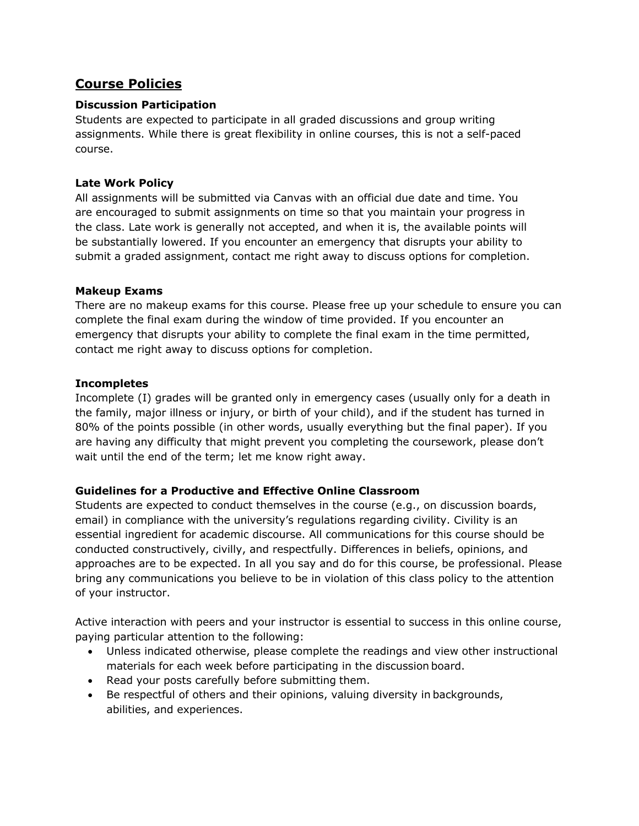# **Course Policies**

### **Discussion Participation**

Students are expected to participate in all graded discussions and group writing assignments. While there is great flexibility in online courses, this is not a self-paced course.

#### **Late Work Policy**

All assignments will be submitted via Canvas with an official due date and time. You are encouraged to submit assignments on time so that you maintain your progress in the class. Late work is generally not accepted, and when it is, the available points will be substantially lowered. If you encounter an emergency that disrupts your ability to submit a graded assignment, contact me right away to discuss options for completion.

#### **Makeup Exams**

There are no makeup exams for this course. Please free up your schedule to ensure you can complete the final exam during the window of time provided. If you encounter an emergency that disrupts your ability to complete the final exam in the time permitted, contact me right away to discuss options for completion.

#### **Incompletes**

Incomplete (I) grades will be granted only in emergency cases (usually only for a death in the family, major illness or injury, or birth of your child), and if the student has turned in 80% of the points possible (in other words, usually everything but the final paper). If you are having any difficulty that might prevent you completing the coursework, please don't wait until the end of the term; let me know right away.

### **Guidelines for a Productive and Effective Online Classroom**

Students are expected to conduct themselves in the course (e.g., on discussion boards, email) in compliance with the university's regulations regarding civility. Civility is an essential ingredient for academic discourse. All communications for this course should be conducted constructively, civilly, and respectfully. Differences in beliefs, opinions, and approaches are to be expected. In all you say and do for this course, be professional. Please bring any communications you believe to be in violation of this class policy to the attention of your instructor.

Active interaction with peers and your instructor is essential to success in this online course, paying particular attention to the following:

- Unless indicated otherwise, please complete the readings and view other instructional materials for each week before participating in the discussion board.
- Read your posts carefully before submitting them.
- Be respectful of others and their opinions, valuing diversity in backgrounds, abilities, and experiences.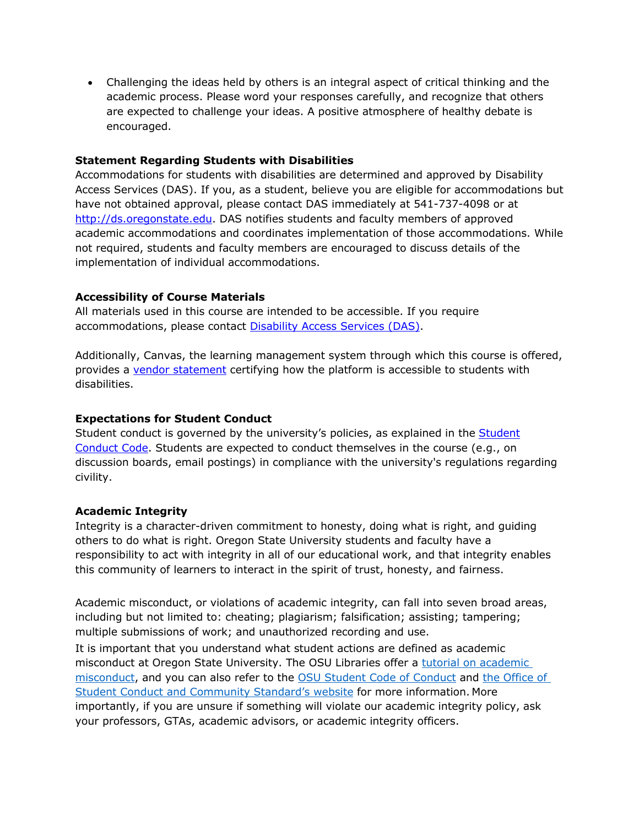• Challenging the ideas held by others is an integral aspect of critical thinking and the academic process. Please word your responses carefully, and recognize that others are expected to challenge your ideas. A positive atmosphere of healthy debate is encouraged.

#### **Statement Regarding Students with Disabilities**

Accommodations for students with disabilities are determined and approved by Disability Access Services (DAS). If you, as a student, believe you are eligible for accommodations but have not obtained approval, please contact DAS immediately at 541-737-4098 or at http://ds.oregonstate.edu. DAS notifies students and faculty members of approved academic accommodations and coordinates implementation of those accommodations. While not required, students and faculty members are encouraged to discuss details of the implementation of individual accommodations.

### **Accessibility of Course Materials**

All materials used in this course are intended to be accessible. If you require accommodations, please contact Disability Access Services (DAS).

Additionally, Canvas, the learning management system through which this course is offered, provides a vendor statement certifying how the platform is accessible to students with disabilities.

### **Expectations for Student Conduct**

Student conduct is governed by the university's policies, as explained in the Student Conduct Code. Students are expected to conduct themselves in the course (e.g., on discussion boards, email postings) in compliance with the university's regulations regarding civility.

### **Academic Integrity**

Integrity is a character-driven commitment to honesty, doing what is right, and guiding others to do what is right. Oregon State University students and faculty have a responsibility to act with integrity in all of our educational work, and that integrity enables this community of learners to interact in the spirit of trust, honesty, and fairness.

Academic misconduct, or violations of academic integrity, can fall into seven broad areas, including but not limited to: cheating; plagiarism; falsification; assisting; tampering; multiple submissions of work; and unauthorized recording and use.

It is important that you understand what student actions are defined as academic misconduct at Oregon State University. The OSU Libraries offer a tutorial on academic misconduct, and you can also refer to the OSU Student Code of Conduct and the Office of Student Conduct and Community Standard's website for more information. More importantly, if you are unsure if something will violate our academic integrity policy, ask your professors, GTAs, academic advisors, or academic integrity officers.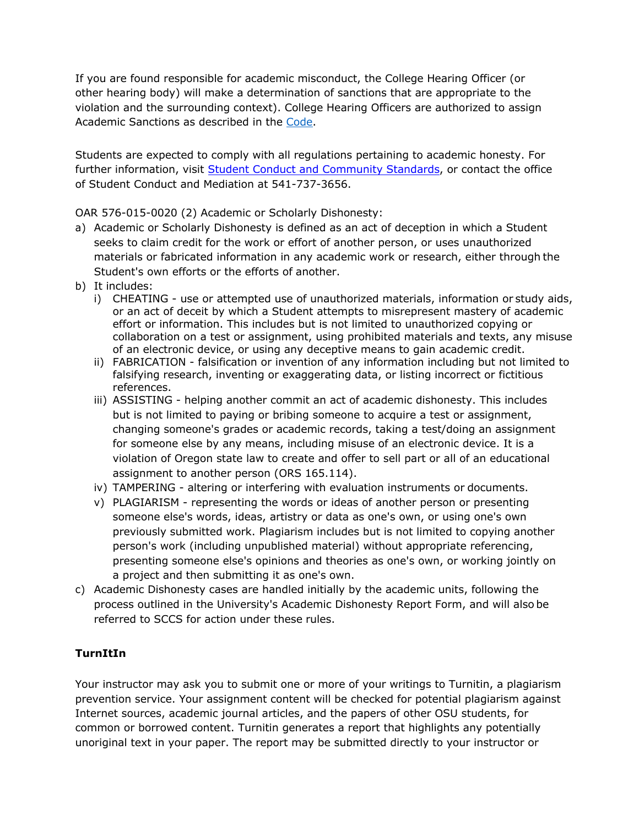If you are found responsible for academic misconduct, the College Hearing Officer (or other hearing body) will make a determination of sanctions that are appropriate to the violation and the surrounding context). College Hearing Officers are authorized to assign Academic Sanctions as described in the Code.

Students are expected to comply with all regulations pertaining to academic honesty. For further information, visit Student Conduct and Community Standards, or contact the office of Student Conduct and Mediation at 541-737-3656.

OAR 576-015-0020 (2) Academic or Scholarly Dishonesty:

- a) Academic or Scholarly Dishonesty is defined as an act of deception in which a Student seeks to claim credit for the work or effort of another person, or uses unauthorized materials or fabricated information in any academic work or research, either through the Student's own efforts or the efforts of another.
- b) It includes:
	- i) CHEATING use or attempted use of unauthorized materials, information or study aids, or an act of deceit by which a Student attempts to misrepresent mastery of academic effort or information. This includes but is not limited to unauthorized copying or collaboration on a test or assignment, using prohibited materials and texts, any misuse of an electronic device, or using any deceptive means to gain academic credit.
	- ii) FABRICATION falsification or invention of any information including but not limited to falsifying research, inventing or exaggerating data, or listing incorrect or fictitious references.
	- iii) ASSISTING helping another commit an act of academic dishonesty. This includes but is not limited to paying or bribing someone to acquire a test or assignment, changing someone's grades or academic records, taking a test/doing an assignment for someone else by any means, including misuse of an electronic device. It is a violation of Oregon state law to create and offer to sell part or all of an educational assignment to another person (ORS 165.114).
	- iv) TAMPERING altering or interfering with evaluation instruments or documents.
	- v) PLAGIARISM representing the words or ideas of another person or presenting someone else's words, ideas, artistry or data as one's own, or using one's own previously submitted work. Plagiarism includes but is not limited to copying another person's work (including unpublished material) without appropriate referencing, presenting someone else's opinions and theories as one's own, or working jointly on a project and then submitting it as one's own.
- c) Academic Dishonesty cases are handled initially by the academic units, following the process outlined in the University's Academic Dishonesty Report Form, and will also be referred to SCCS for action under these rules.

### **TurnItIn**

Your instructor may ask you to submit one or more of your writings to Turnitin, a plagiarism prevention service. Your assignment content will be checked for potential plagiarism against Internet sources, academic journal articles, and the papers of other OSU students, for common or borrowed content. Turnitin generates a report that highlights any potentially unoriginal text in your paper. The report may be submitted directly to your instructor or